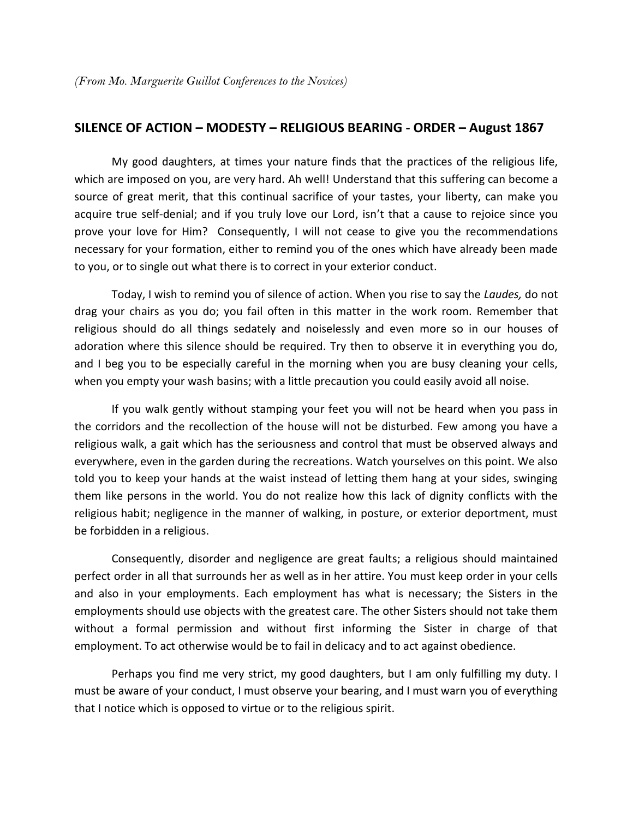## **SILENCE OF ACTION – MODESTY – RELIGIOUS BEARING - ORDER – August 1867**

 My good daughters, at times your nature finds that the practices of the religious life, which are imposed on you, are very hard. Ah well! Understand that this suffering can become a source of great merit, that this continual sacrifice of your tastes, your liberty, can make you acquire true self-denial; and if you truly love our Lord, isn't that a cause to rejoice since you prove your love for Him? Consequently, I will not cease to give you the recommendations necessary for your formation, either to remind you of the ones which have already been made to you, or to single out what there is to correct in your exterior conduct.

Today, I wish to remind you of silence of action. When you rise to say the *Laudes,* do not drag your chairs as you do; you fail often in this matter in the work room. Remember that religious should do all things sedately and noiselessly and even more so in our houses of adoration where this silence should be required. Try then to observe it in everything you do, and I beg you to be especially careful in the morning when you are busy cleaning your cells, when you empty your wash basins; with a little precaution you could easily avoid all noise.

 If you walk gently without stamping your feet you will not be heard when you pass in the corridors and the recollection of the house will not be disturbed. Few among you have a religious walk, a gait which has the seriousness and control that must be observed always and everywhere, even in the garden during the recreations. Watch yourselves on this point. We also told you to keep your hands at the waist instead of letting them hang at your sides, swinging them like persons in the world. You do not realize how this lack of dignity conflicts with the religious habit; negligence in the manner of walking, in posture, or exterior deportment, must be forbidden in a religious.

 Consequently, disorder and negligence are great faults; a religious should maintained perfect order in all that surrounds her as well as in her attire. You must keep order in your cells and also in your employments. Each employment has what is necessary; the Sisters in the employments should use objects with the greatest care. The other Sisters should not take them without a formal permission and without first informing the Sister in charge of that employment. To act otherwise would be to fail in delicacy and to act against obedience.

 Perhaps you find me very strict, my good daughters, but I am only fulfilling my duty. I must be aware of your conduct, I must observe your bearing, and I must warn you of everything that I notice which is opposed to virtue or to the religious spirit.